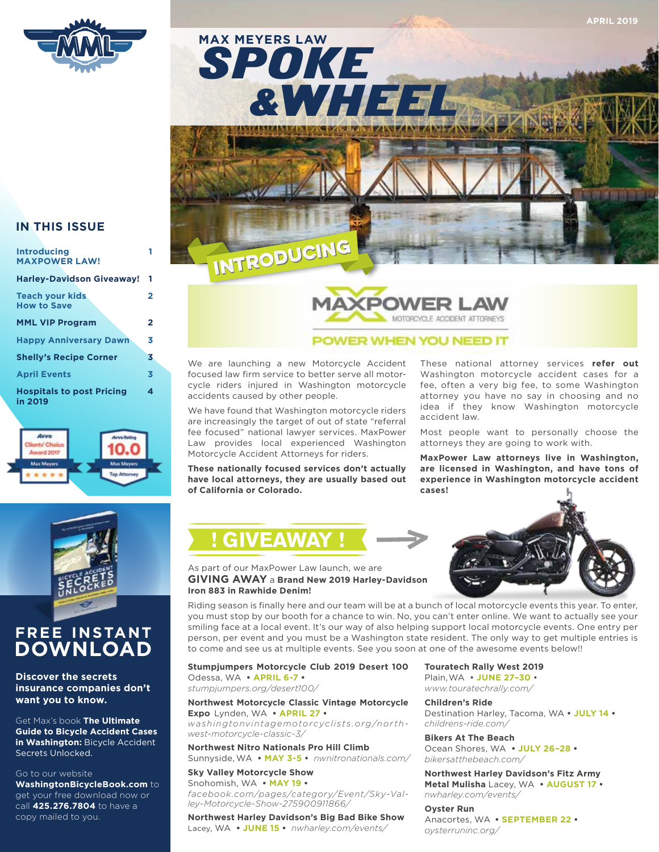

### **IN THIS ISSUE**

| <b>Introducing</b><br><b>MAXPOWER LAW!</b>   |   |
|----------------------------------------------|---|
| <b>Harley-Davidson Giveaway!</b>             | 1 |
| <b>Teach your kids</b><br><b>How to Save</b> | 2 |
| <b>MML VIP Program</b>                       | 2 |
| <b>Happy Anniversary Dawn</b>                | 3 |
| <b>Shelly's Recipe Corner</b>                | 3 |
| <b>April Events</b>                          | 3 |
| <b>Hospitals to post Pricing</b><br>in 2019  | 4 |





### **FREE INSTANT DOWNLOAD**

**Discover the secrets insurance companies don't want you to know.** 

Get Max's book **The Ultimate Guide to Bicycle Accident Cases in Washington:** Bicycle Accident Secrets Unlocked.

### Go to our website

**WashingtonBicycleBook.com** to get your free download now or call **425.276.7804** to have a copy mailed to you.





### POWER WHEN YOU NEED IT

We are launching a new Motorcycle Accident focused law firm service to better serve all motorcycle riders injured in Washington motorcycle accidents caused by other people.

We have found that Washington motorcycle riders are increasingly the target of out of state "referral fee focused" national lawyer services. MaxPower Law provides local experienced Washington Motorcycle Accident Attorneys for riders.

**These nationally focused services don't actually have local attorneys, they are usually based out of California or Colorado.**

**! GIVEAWAY !**

These national attorney services **refer out** Washington motorcycle accident cases for a fee, often a very big fee, to some Washington attorney you have no say in choosing and no idea if they know Washington motorcycle accident law.

Most people want to personally choose the attorneys they are going to work with.

**MaxPower Law attorneys live in Washington, are licensed in Washington, and have tons of experience in Washington motorcycle accident cases!**



### As part of our MaxPower Law launch, we are **GIVING AWAY** a **Brand New 2019 Harley-Davidson Iron 883 in Rawhide Denim!**

Riding season is finally here and our team will be at a bunch of local motorcycle events this year. To enter, you must stop by our booth for a chance to win. No, you can't enter online. We want to actually see your smiling face at a local event. It's our way of also helping support local motorcycle events. One entry per person, per event and you must be a Washington state resident. The only way to get multiple entries is to come and see us at multiple events. See you soon at one of the awesome events below!!

### **Stumpjumpers Motorcycle Club 2019 Desert 100** Odessa, WA **• APRIL 6-7 •**

*stumpjumpers.org/desert100/*

### **Northwest Motorcycle Classic Vintage Motorcycle Expo** Lynden, WA **• APRIL 27 •**

*washingtonvintagemotorcyclists.org/northwest-motorcycle-classic-3/*

**Northwest Nitro Nationals Pro Hill Climb** Sunnyside, WA **• MAY 3-5 •** *nwnitronationals.com/*

**Sky Valley Motorcycle Show** Snohomish, WA **• MAY 19 •** *facebook.com/pages/category/Event/Sky-Valley-Motorcycle-Show-275900911866/*

**Northwest Harley Davidson's Big Bad Bike Show**  Lacey, WA **• JUNE 15 •** *nwharley.com/events/*

**Touratech Rally West 2019** Plain,WA • **JUNE 27–30** •

*www.touratechrally.com/*

**Children's Ride** Destination Harley, Tacoma, WA **• JULY 14 •** *childrens-ride.com/*

**Bikers At The Beach** Ocean Shores, WA **• JULY 26–28 •**

*bikersatthebeach.com/* **Northwest Harley Davidson's Fitz Army** 

**Metal Mulisha** Lacey, WA **• AUGUST 17 •** *nwharley.com/events/*

### **Oyster Run**

Anacortes, WA **• SEPTEMBER 22 •** *oysterruninc.org/*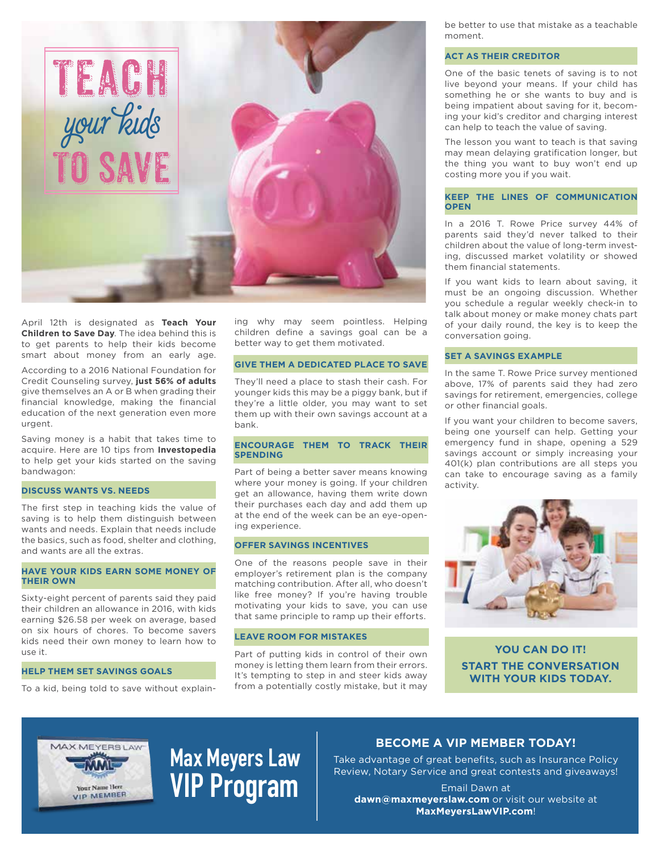

April 12th is designated as **Teach Your Children to Save Day**. The idea behind this is to get parents to help their kids become smart about money from an early age.

According to a 2016 National Foundation for Credit Counseling survey, **just 56% of adults** give themselves an A or B when grading their financial knowledge, making the financial education of the next generation even more urgent.

Saving money is a habit that takes time to acquire. Here are 10 tips from **Investopedia** to help get your kids started on the saving bandwagon:

### **DISCUSS WANTS VS. NEEDS**

The first step in teaching kids the value of saving is to help them distinguish between wants and needs. Explain that needs include the basics, such as food, shelter and clothing, and wants are all the extras.

### **HAVE YOUR KIDS EARN SOME MONEY OF THEIR OWN**

Sixty-eight percent of parents said they paid their children an allowance in 2016, with kids earning \$26.58 per week on average, based on six hours of chores. To become savers kids need their own money to learn how to use it.

### **HELP THEM SET SAVINGS GOALS**

To a kid, being told to save without explain-

ing why may seem pointless. Helping children define a savings goal can be a better way to get them motivated.

### **GIVE THEM A DEDICATED PLACE TO SAVE**

They'll need a place to stash their cash. For younger kids this may be a piggy bank, but if they're a little older, you may want to set them up with their own savings account at a bank.

### **ENCOURAGE THEM TO TRACK THEIR SPENDING**

Part of being a better saver means knowing where your money is going. If your children get an allowance, having them write down their purchases each day and add them up at the end of the week can be an eye-opening experience.

### **OFFER SAVINGS INCENTIVES**

One of the reasons people save in their employer's retirement plan is the company matching contribution. After all, who doesn't like free money? If you're having trouble motivating your kids to save, you can use that same principle to ramp up their efforts.

#### **LEAVE ROOM FOR MISTAKES**

Part of putting kids in control of their own money is letting them learn from their errors. It's tempting to step in and steer kids away from a potentially costly mistake, but it may be better to use that mistake as a teachable moment.

### **ACT AS THEIR CREDITOR**

One of the basic tenets of saving is to not live beyond your means. If your child has something he or she wants to buy and is being impatient about saving for it, becoming your kid's creditor and charging interest can help to teach the value of saving.

The lesson you want to teach is that saving may mean delaying gratification longer, but the thing you want to buy won't end up costing more you if you wait.

### **KEEP THE LINES OF COMMUNICATION OPEN**

In a 2016 T. Rowe Price survey 44% of parents said they'd never talked to their children about the value of long-term investing, discussed market volatility or showed them financial statements.

If you want kids to learn about saving, it must be an ongoing discussion. Whether you schedule a regular weekly check-in to talk about money or make money chats part of your daily round, the key is to keep the conversation going.

### **SET A SAVINGS EXAMPLE**

In the same T. Rowe Price survey mentioned above, 17% of parents said they had zero savings for retirement, emergencies, college or other financial goals.

If you want your children to become savers, being one yourself can help. Getting your emergency fund in shape, opening a 529 savings account or simply increasing your 401(k) plan contributions are all steps you can take to encourage saving as a family activity.



**YOU CAN DO IT! START THE CONVERSATION WITH YOUR KIDS TODAY.**



## **Max Meyers Law VIP Program**

### **BECOME A VIP MEMBER TODAY!**

Take advantage of great benefits, such as Insurance Policy Review, Notary Service and great contests and giveaways!

Email Dawn at **dawn@maxmeyerslaw.com** or visit our website at **MaxMeyersLawVIP.com**!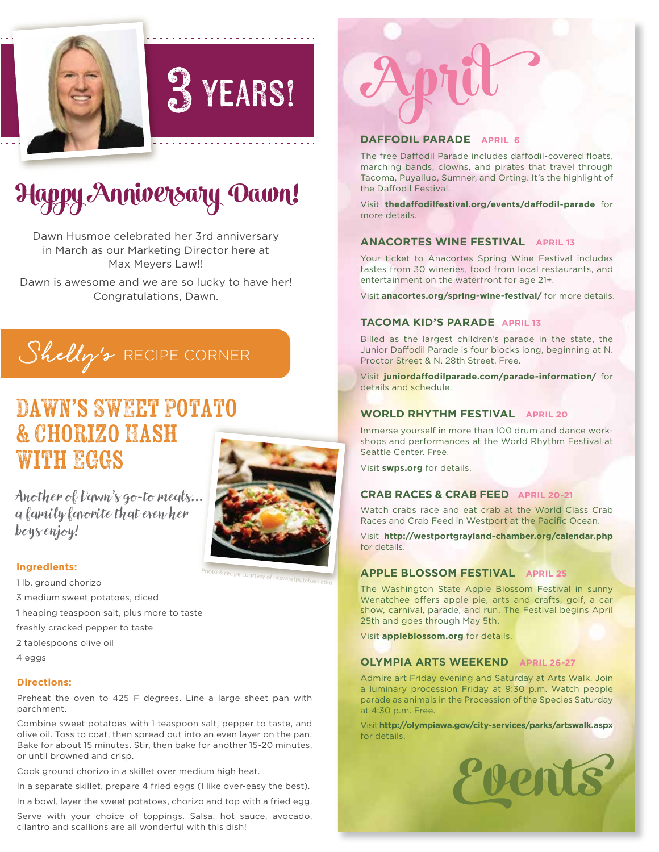

## **3 YEARS!**

## **Happy Anniversary Dawn!**

Dawn Husmoe celebrated her 3rd anniversary in March as our Marketing Director here at Max Meyers Law!!

Dawn is awesome and we are so lucky to have her! Congratulations, Dawn.

## Shelly's RECIPE CORNER

### DAWN'S SWEET POTATO & Chorizo Hash **WITH EGGS**



Photo & recipe courtesy of ncsweetpotatoes.com

Another of Dawn's go-to meals… a family favorite that even her boys enjoy!

### **Ingredients:**

1 lb. ground chorizo 3 medium sweet potatoes, diced 1 heaping teaspoon salt, plus more to taste

freshly cracked pepper to taste

- 2 tablespoons olive oil
- 4 eggs

### **Directions:**

Preheat the oven to 425 F degrees. Line a large sheet pan with parchment.

Combine sweet potatoes with 1 teaspoon salt, pepper to taste, and olive oil. Toss to coat, then spread out into an even layer on the pan. Bake for about 15 minutes. Stir, then bake for another 15-20 minutes, or until browned and crisp.

Cook ground chorizo in a skillet over medium high heat.

In a separate skillet, prepare 4 fried eggs (I like over-easy the best).

In a bowl, layer the sweet potatoes, chorizo and top with a fried egg.

Serve with your choice of toppings. Salsa, hot sauce, avocado, cilantro and scallions are all wonderful with this dish!

# **April**

### **DAFFODIL PARADE APRIL 6**

The free Daffodil Parade includes daffodil-covered floats, marching bands, clowns, and pirates that travel through Tacoma, Puyallup, Sumner, and Orting. It's the highlight of the Daffodil Festival.

Visit thedaffodilfestival.org/events/daffodil-parade for more details.

### **ANACORTES WINE FESTIVAL APRIL 13**

Your ticket to Anacortes Spring Wine Festival includes tastes from 30 wineries, food from local restaurants, and entertainment on the waterfront for age 21+.

Visit **anacortes.org/spring-wine-festival/** for more details.

### **TACOMA KID'S PARADE APRIL 13**

Billed as the largest children's parade in the state, the Junior Daffodil Parade is four blocks long, beginning at N. Proctor Street & N. 28th Street. Free.

Visit juniordaffodilparade.com/parade-information/ for details and schedule.

### **WORLD RHYTHM FESTIVAL APRIL 20**

Immerse yourself in more than 100 drum and dance workshops and performances at the World Rhythm Festival at Seattle Center. Free.

Visit **swps.org** for details.

### **CRAB RACES & CRAB FEED APRIL 20-21**

Watch crabs race and eat crab at the World Class Crab Races and Crab Feed in Westport at the Pacific Ocean.

Visit **http://westportgrayland-chamber.org/calendar.php**  for details.

### **APPLE BLOSSOM FESTIVAL APRIL 25**

The Washington State Apple Blossom Festival in sunny Wenatchee offers apple pie, arts and crafts, golf, a car show, carnival, parade, and run. The Festival begins April 25th and goes through May 5th.

Visit **appleblossom.org** for details.

### **OLYMPIA ARTS WEEKEND APRIL 26-27**

Admire art Friday evening and Saturday at Arts Walk. Join a luminary procession Friday at 9:30 p.m. Watch people parade as animals in the Procession of the Species Saturday at 4:30 p.m. Free.

Visit **http://olympiawa.gov/city-services/parks/artswalk.aspx** for details.